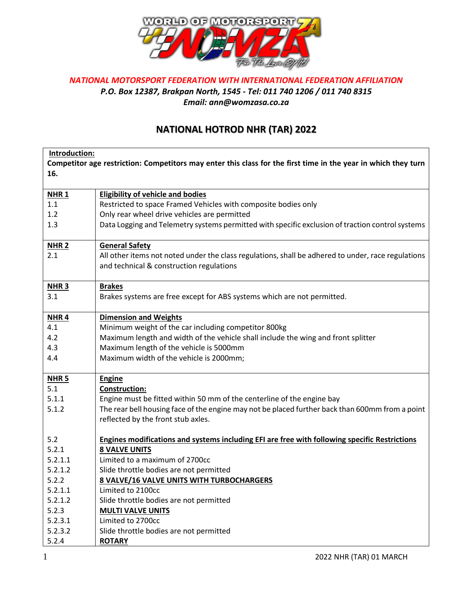

## *NATIONAL MOTORSPORT FEDERATION WITH INTERNATIONAL FEDERATION AFFILIATION P.O. Box 12387, Brakpan North, 1545 - Tel: 011 740 1206 / 011 740 8315 Email: ann@womzasa.co.za*

## **NATIONAL HOTROD NHR (TAR) 2022**

|                                                                                                                | Introduction:                                                                                        |  |  |
|----------------------------------------------------------------------------------------------------------------|------------------------------------------------------------------------------------------------------|--|--|
| Competitor age restriction: Competitors may enter this class for the first time in the year in which they turn |                                                                                                      |  |  |
| 16.                                                                                                            |                                                                                                      |  |  |
|                                                                                                                |                                                                                                      |  |  |
| <b>NHR1</b>                                                                                                    | <b>Eligibility of vehicle and bodies</b>                                                             |  |  |
| 1.1                                                                                                            | Restricted to space Framed Vehicles with composite bodies only                                       |  |  |
| 1.2                                                                                                            | Only rear wheel drive vehicles are permitted                                                         |  |  |
| 1.3                                                                                                            | Data Logging and Telemetry systems permitted with specific exclusion of traction control systems     |  |  |
|                                                                                                                |                                                                                                      |  |  |
| <b>NHR 2</b>                                                                                                   | <b>General Safety</b>                                                                                |  |  |
| 2.1                                                                                                            | All other items not noted under the class regulations, shall be adhered to under, race regulations   |  |  |
|                                                                                                                | and technical & construction regulations                                                             |  |  |
|                                                                                                                |                                                                                                      |  |  |
| $NHR$ 3                                                                                                        | <b>Brakes</b>                                                                                        |  |  |
| 3.1                                                                                                            | Brakes systems are free except for ABS systems which are not permitted.                              |  |  |
|                                                                                                                |                                                                                                      |  |  |
| NHR <sub>4</sub>                                                                                               | <b>Dimension and Weights</b>                                                                         |  |  |
| 4.1                                                                                                            | Minimum weight of the car including competitor 800kg                                                 |  |  |
| 4.2                                                                                                            | Maximum length and width of the vehicle shall include the wing and front splitter                    |  |  |
| 4.3                                                                                                            | Maximum length of the vehicle is 5000mm                                                              |  |  |
| 4.4                                                                                                            | Maximum width of the vehicle is 2000mm;                                                              |  |  |
|                                                                                                                |                                                                                                      |  |  |
| NHR <sub>5</sub>                                                                                               | <b>Engine</b>                                                                                        |  |  |
| 5.1                                                                                                            | <b>Construction:</b>                                                                                 |  |  |
| 5.1.1                                                                                                          | Engine must be fitted within 50 mm of the centerline of the engine bay                               |  |  |
| 5.1.2                                                                                                          | The rear bell housing face of the engine may not be placed further back than 600mm from a point      |  |  |
|                                                                                                                | reflected by the front stub axles.                                                                   |  |  |
|                                                                                                                |                                                                                                      |  |  |
| 5.2                                                                                                            | <b>Engines modifications and systems including EFI are free with following specific Restrictions</b> |  |  |
| 5.2.1                                                                                                          | <b>8 VALVE UNITS</b>                                                                                 |  |  |
| 5.2.1.1                                                                                                        | Limited to a maximum of 2700cc                                                                       |  |  |
| 5.2.1.2                                                                                                        | Slide throttle bodies are not permitted                                                              |  |  |
| 5.2.2                                                                                                          | <b>8 VALVE/16 VALVE UNITS WITH TURBOCHARGERS</b>                                                     |  |  |
| 5.2.1.1                                                                                                        | Limited to 2100cc                                                                                    |  |  |
| 5.2.1.2                                                                                                        | Slide throttle bodies are not permitted                                                              |  |  |
| 5.2.3                                                                                                          | <b>MULTI VALVE UNITS</b>                                                                             |  |  |
| 5.2.3.1                                                                                                        | Limited to 2700cc                                                                                    |  |  |
| 5.2.3.2                                                                                                        | Slide throttle bodies are not permitted                                                              |  |  |
| 5.2.4                                                                                                          | <b>ROTARY</b>                                                                                        |  |  |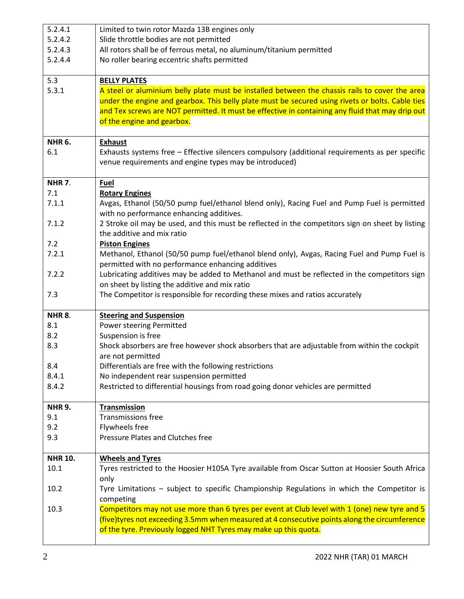| 5.2.4.1        | Limited to twin rotor Mazda 13B engines only                                                                                                                                                                                                                       |
|----------------|--------------------------------------------------------------------------------------------------------------------------------------------------------------------------------------------------------------------------------------------------------------------|
| 5.2.4.2        | Slide throttle bodies are not permitted                                                                                                                                                                                                                            |
| 5.2.4.3        | All rotors shall be of ferrous metal, no aluminum/titanium permitted                                                                                                                                                                                               |
| 5.2.4.4        | No roller bearing eccentric shafts permitted                                                                                                                                                                                                                       |
|                |                                                                                                                                                                                                                                                                    |
| 5.3            | <b>BELLY PLATES</b>                                                                                                                                                                                                                                                |
| 5.3.1          | A steel or aluminium belly plate must be installed between the chassis rails to cover the area                                                                                                                                                                     |
|                | under the engine and gearbox. This belly plate must be secured using rivets or bolts. Cable ties                                                                                                                                                                   |
|                | and Tex screws are NOT permitted. It must be effective in containing any fluid that may drip out                                                                                                                                                                   |
|                | of the engine and gearbox.                                                                                                                                                                                                                                         |
|                |                                                                                                                                                                                                                                                                    |
| <b>NHR 6.</b>  | <b>Exhaust</b>                                                                                                                                                                                                                                                     |
| 6.1            | Exhausts systems free - Effective silencers compulsory (additional requirements as per specific                                                                                                                                                                    |
|                | venue requirements and engine types may be introduced)                                                                                                                                                                                                             |
|                |                                                                                                                                                                                                                                                                    |
| <b>NHR 7.</b>  | <b>Fuel</b>                                                                                                                                                                                                                                                        |
| 7.1            | <b>Rotary Engines</b>                                                                                                                                                                                                                                              |
| 7.1.1          | Avgas, Ethanol (50/50 pump fuel/ethanol blend only), Racing Fuel and Pump Fuel is permitted<br>with no performance enhancing additives.                                                                                                                            |
| 7.1.2          | 2 Stroke oil may be used, and this must be reflected in the competitors sign on sheet by listing                                                                                                                                                                   |
|                | the additive and mix ratio                                                                                                                                                                                                                                         |
| 7.2            | <b>Piston Engines</b>                                                                                                                                                                                                                                              |
| 7.2.1          | Methanol, Ethanol (50/50 pump fuel/ethanol blend only), Avgas, Racing Fuel and Pump Fuel is                                                                                                                                                                        |
|                | permitted with no performance enhancing additives                                                                                                                                                                                                                  |
| 7.2.2          | Lubricating additives may be added to Methanol and must be reflected in the competitors sign                                                                                                                                                                       |
|                | on sheet by listing the additive and mix ratio                                                                                                                                                                                                                     |
| 7.3            | The Competitor is responsible for recording these mixes and ratios accurately                                                                                                                                                                                      |
|                |                                                                                                                                                                                                                                                                    |
| <b>NHR 8.</b>  | <b>Steering and Suspension</b>                                                                                                                                                                                                                                     |
| 8.1            | Power steering Permitted                                                                                                                                                                                                                                           |
| 8.2            | Suspension is free                                                                                                                                                                                                                                                 |
| 8.3            | Shock absorbers are free however shock absorbers that are adjustable from within the cockpit                                                                                                                                                                       |
|                | are not permitted                                                                                                                                                                                                                                                  |
| 8.4            | Differentials are free with the following restrictions                                                                                                                                                                                                             |
| 8.4.1          | No independent rear suspension permitted                                                                                                                                                                                                                           |
| 8.4.2          | Restricted to differential housings from road going donor vehicles are permitted                                                                                                                                                                                   |
|                |                                                                                                                                                                                                                                                                    |
| <b>NHR 9.</b>  | <b>Transmission</b>                                                                                                                                                                                                                                                |
| 9.1            | <b>Transmissions free</b>                                                                                                                                                                                                                                          |
| 9.2            | Flywheels free                                                                                                                                                                                                                                                     |
| 9.3            | Pressure Plates and Clutches free                                                                                                                                                                                                                                  |
|                |                                                                                                                                                                                                                                                                    |
| <b>NHR 10.</b> | <b>Wheels and Tyres</b>                                                                                                                                                                                                                                            |
| 10.1           | Tyres restricted to the Hoosier H10SA Tyre available from Oscar Sutton at Hoosier South Africa<br>only                                                                                                                                                             |
| 10.2           | Tyre Limitations - subject to specific Championship Regulations in which the Competitor is<br>competing                                                                                                                                                            |
| 10.3           | Competitors may not use more than 6 tyres per event at Club level with 1 (one) new tyre and 5<br>(five)tyres not exceeding 3.5mm when measured at 4 consecutive points along the circumference<br>of the tyre. Previously logged NHT Tyres may make up this quota. |